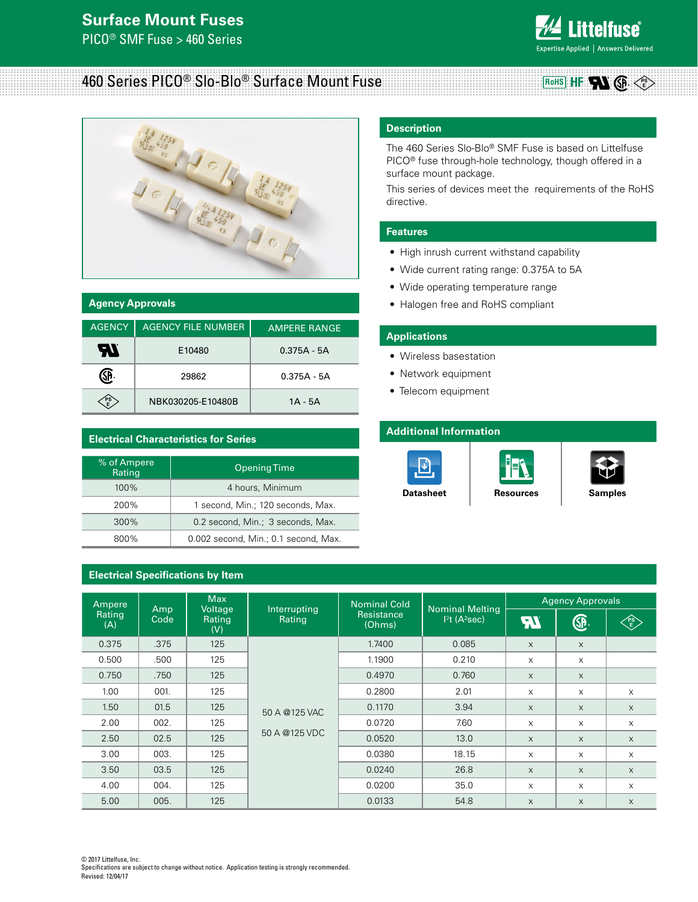# **Surface Mount Fuses**

PICO® SMF Fuse > 460 Series



**PS E**

GF.

#### 460 Series PICO® Slo-Blo® Surface Mount Fuse **RoHS** HF



| <b>Agency Approvals</b> |                           |                     |  |  |
|-------------------------|---------------------------|---------------------|--|--|
| <b>AGENCY</b>           | <b>AGENCY FILE NUMBER</b> | <b>AMPERE RANGE</b> |  |  |
| ЧЛ                      | E10480                    | $0.375A - 5A$       |  |  |
|                         | 29862                     | $0.375A - 5A$       |  |  |
| ' PS                    | NBK030205-E10480B         | 1A - 5A             |  |  |

#### **Electrical Characteristics for Series**

| % of Ampere<br>Rating | Opening Time                         |
|-----------------------|--------------------------------------|
| 100%                  | 4 hours, Minimum                     |
| 200%                  | 1 second, Min.; 120 seconds, Max.    |
| 300%                  | 0.2 second, Min.; 3 seconds, Max.    |
| 800%                  | 0.002 second, Min.; 0.1 second, Max. |

#### **Electrical Specifications by Item**

#### **Description**

The 460 Series Slo-Blo® SMF Fuse is based on Littelfuse PICO® fuse through-hole technology, though offered in a surface mount package.

This series of devices meet the requirements of the RoHS directive.

#### **Features**

- High inrush current withstand capability
- Wide current rating range: 0.375A to 5A
- Wide operating temperature range
- Halogen free and RoHS compliant

#### **Applications**

- Wireless basestation
- Network equipment
- Telecom equipment

#### **Additional Information**







**[Datasheet](http://www.littelfuse.com/~/media/electronics/datasheets/fuses/littelfuse_fuse_460_datasheet.pdf.pdf) [Resources](http://www.littelfuse.com/products/fuses/surface-mount-fuses/pico-fuses/460.aspx#TechnicalResources) [Samples](http://www.littelfuse.com/products/fuses/surface-mount-fuses/pico-fuses/460.aspx#ElectricalCharacteristics)** 

| Ampere        |             | <b>Max</b>               |                                | <b>Nominal Cold</b>  |                                                      | <b>Agency Approvals</b> |          |           |
|---------------|-------------|--------------------------|--------------------------------|----------------------|------------------------------------------------------|-------------------------|----------|-----------|
| Rating<br>(A) | Amp<br>Code | Voltage<br>Rating<br>(V) | Interrupting<br>Rating         | Resistance<br>(Ohms) | <b>Nominal Melting</b><br>$12t$ (A <sup>2</sup> sec) |                         | ®.       | <b>PS</b> |
| 0.375         | .375        | 125                      | 50 A @125 VAC<br>50 A @125 VDC | 1.7400               | 0.085                                                | $\times$                | X        |           |
| 0.500         | .500        | 125                      |                                | 1.1900               | 0.210                                                | X                       | X        |           |
| 0.750         | .750        | 125                      |                                | 0.4970               | 0.760                                                | $\times$                | $\times$ |           |
| 1.00          | 001.        | 125                      |                                | 0.2800               | 2.01                                                 | X                       | X        | X         |
| 1.50          | 01.5        | 125                      |                                | 0.1170               | 3.94                                                 | $\times$                | X        | $\times$  |
| 2.00          | 002.        | 125                      |                                | 0.0720               | 7.60                                                 | $\times$                | X        | X         |
| 2.50          | 02.5        | 125                      |                                | 0.0520               | 13.0                                                 | $\times$                | $\times$ | $\times$  |
| 3.00          | 003.        | 125                      |                                | 0.0380               | 18.15                                                | X                       | X        | X         |
| 3.50          | 03.5        | 125                      |                                | 0.0240               | 26.8                                                 | $\times$                | $\times$ | $\times$  |
| 4.00          | 004.        | 125                      |                                | 0.0200               | 35.0                                                 | X                       | X        | X         |
| 5.00          | 005.        | 125                      |                                | 0.0133               | 54.8                                                 | $\times$                | $\times$ | $\times$  |